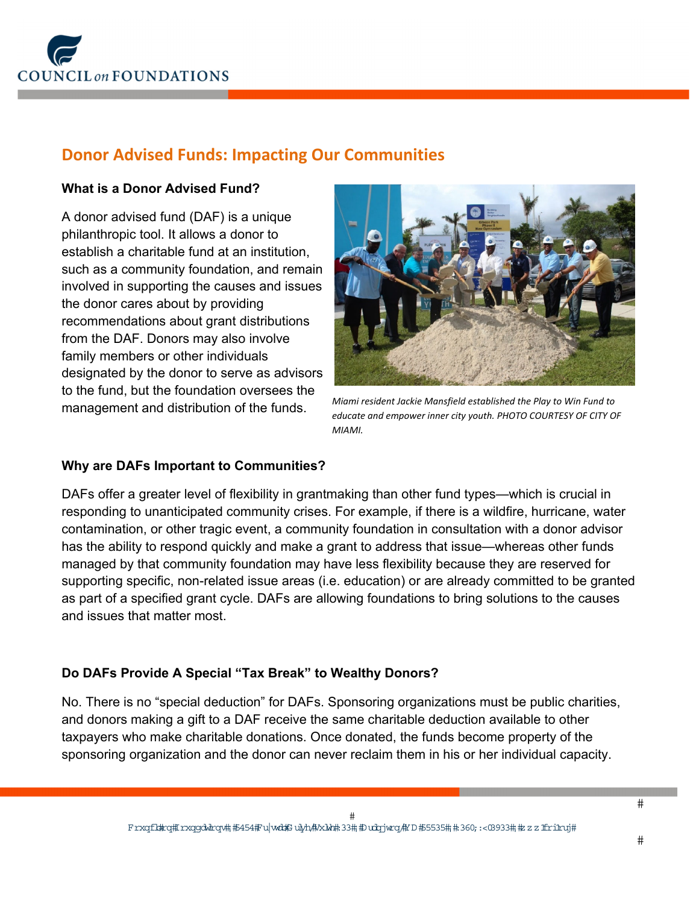

# **Donor Advised Funds: Impacting Our Communities**

## **What is a Donor Advised Fund?**

A donor advised fund (DAF) is a unique philanthropic tool. It allows a donor to establish a charitable fund at an institution, such as a community foundation, and remain involved in supporting the causes and issues the donor cares about by providing recommendations about grant distributions from the DAF. Donors may also involve family members or other individuals designated by the donor to serve as advisors to the fund, but the foundation oversees the management and distribution of the funds.



*Miami resident Jackie Mansfield established the Play to Win Fund to educate and empower inner city youth. PHOTO COURTESY OF CITY OF MIAMI.* 

#### **Why are DAFs Important to Communities?**

DAFs offer a greater level of flexibility in grantmaking than other fund types—which is crucial in responding to unanticipated community crises. For example, if there is a wildfire, hurricane, water contamination, or other tragic event, a community foundation in consultation with a donor advisor has the ability to respond quickly and make a grant to address that issue—whereas other funds managed by that community foundation may have less flexibility because they are reserved for supporting specific, non-related issue areas (i.e. education) or are already committed to be granted as part of a specified grant cycle. DAFs are allowing foundations to bring solutions to the causes and issues that matter most.

# **Do DAFs Provide A Special "Tax Break" to Wealthy Donors?**

No. There is no "special deduction" for DAFs. Sponsoring organizations must be public charities, and donors making a gift to a DAF receive the same charitable deduction available to other taxpayers who make charitable donations. Once donated, the funds become property of the sponsoring organization and the donor can never reclaim them in his or her individual capacity.

 $#$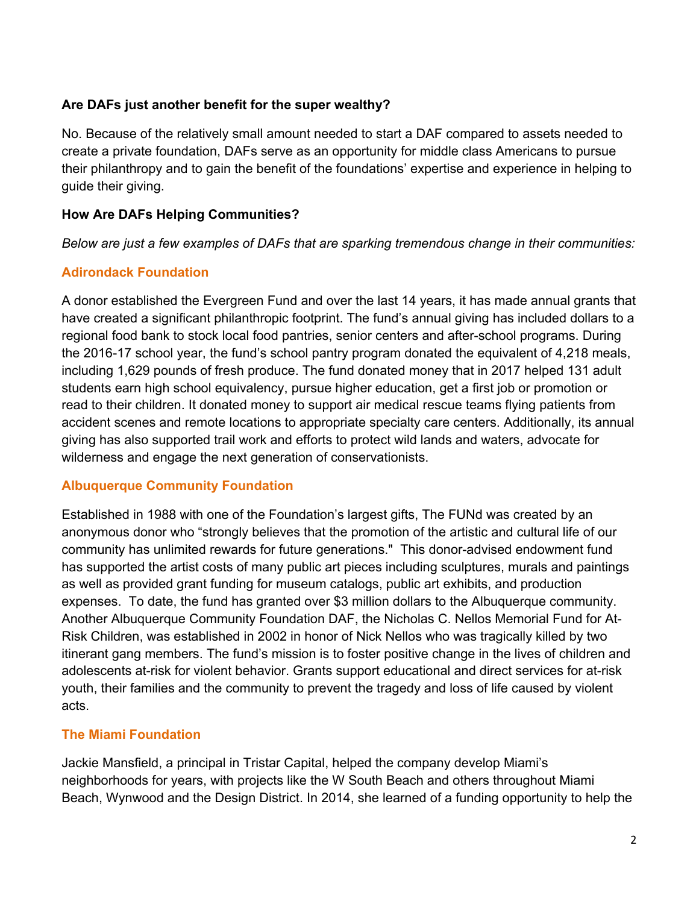#### **Are DAFs just another benefit for the super wealthy?**

No. Because of the relatively small amount needed to start a DAF compared to assets needed to create a private foundation, DAFs serve as an opportunity for middle class Americans to pursue their philanthropy and to gain the benefit of the foundations' expertise and experience in helping to guide their giving.

## **How Are DAFs Helping Communities?**

*Below are just a few examples of DAFs that are sparking tremendous change in their communities:* 

# **Adirondack Foundation**

A donor established the Evergreen Fund and over the last 14 years, it has made annual grants that have created a significant philanthropic footprint. The fund's annual giving has included dollars to a regional food bank to stock local food pantries, senior centers and after-school programs. During the 2016-17 school year, the fund's school pantry program donated the equivalent of 4,218 meals, including 1,629 pounds of fresh produce. The fund donated money that in 2017 helped 131 adult students earn high school equivalency, pursue higher education, get a first job or promotion or read to their children. It donated money to support air medical rescue teams flying patients from accident scenes and remote locations to appropriate specialty care centers. Additionally, its annual giving has also supported trail work and efforts to protect wild lands and waters, advocate for wilderness and engage the next generation of conservationists.

# **Albuquerque Community Foundation**

Established in 1988 with one of the Foundation's largest gifts, The FUNd was created by an anonymous donor who "strongly believes that the promotion of the artistic and cultural life of our community has unlimited rewards for future generations." This donor-advised endowment fund has supported the artist costs of many public art pieces including sculptures, murals and paintings as well as provided grant funding for museum catalogs, public art exhibits, and production expenses. To date, the fund has granted over \$3 million dollars to the Albuquerque community. Another Albuquerque Community Foundation DAF, the Nicholas C. Nellos Memorial Fund for At-Risk Children, was established in 2002 in honor of Nick Nellos who was tragically killed by two itinerant gang members. The fund's mission is to foster positive change in the lives of children and adolescents at-risk for violent behavior. Grants support educational and direct services for at-risk youth, their families and the community to prevent the tragedy and loss of life caused by violent acts.

# **The Miami Foundation**

Jackie Mansfield, a principal in Tristar Capital, helped the company develop Miami's neighborhoods for years, with projects like the W South Beach and others throughout Miami Beach, Wynwood and the Design District. In 2014, she learned of a funding opportunity to help the